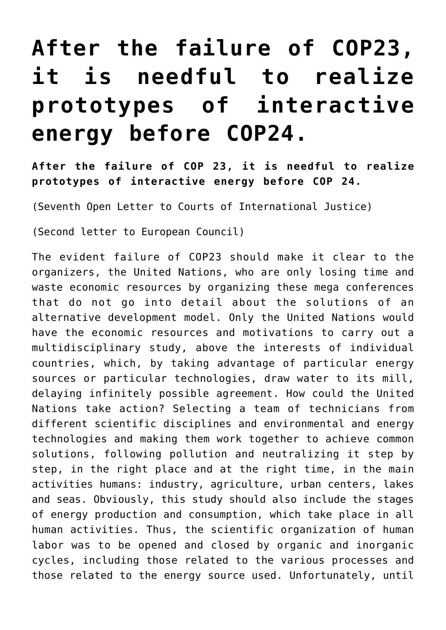## **[After the failure of COP23,](https://www.spawhe.eu/after-the-failure-of-cop23-it-is-needful-to-realize-prototypes-of-interactive-energy-before-cop24/) [it is needful to realize](https://www.spawhe.eu/after-the-failure-of-cop23-it-is-needful-to-realize-prototypes-of-interactive-energy-before-cop24/) [prototypes of interactive](https://www.spawhe.eu/after-the-failure-of-cop23-it-is-needful-to-realize-prototypes-of-interactive-energy-before-cop24/) [energy before COP24.](https://www.spawhe.eu/after-the-failure-of-cop23-it-is-needful-to-realize-prototypes-of-interactive-energy-before-cop24/)**

**After the failure of COP 23, it is needful to realize prototypes of interactive energy before COP 24.**

(Seventh Open Letter to Courts of International Justice)

(Second letter to European Council)

The evident failure of COP23 should make it clear to the organizers, the United Nations, who are only losing time and waste economic resources by organizing these mega conferences that do not go into detail about the solutions of an alternative development model. Only the United Nations would have the economic resources and motivations to carry out a multidisciplinary study, above the interests of individual countries, which, by taking advantage of particular energy sources or particular technologies, draw water to its mill, delaying infinitely possible agreement. How could the United Nations take action? Selecting a team of technicians from different scientific disciplines and environmental and energy technologies and making them work together to achieve common solutions, following pollution and neutralizing it step by step, in the right place and at the right time, in the main activities humans: industry, agriculture, urban centers, lakes and seas. Obviously, this study should also include the stages of energy production and consumption, which take place in all human activities. Thus, the scientific organization of human labor was to be opened and closed by organic and inorganic cycles, including those related to the various processes and those related to the energy source used. Unfortunately, until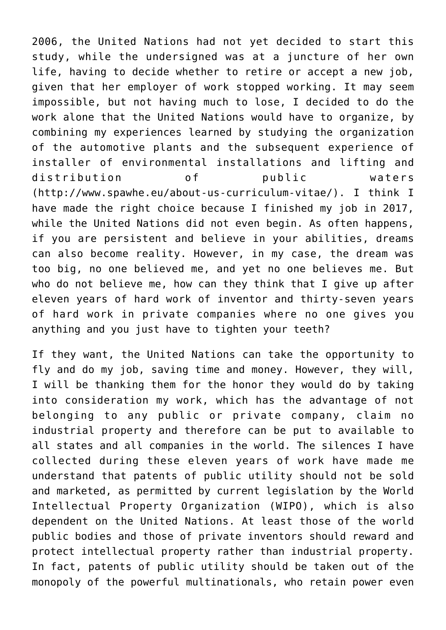2006, the United Nations had not yet decided to start this study, while the undersigned was at a juncture of her own life, having to decide whether to retire or accept a new job, given that her employer of work stopped working. It may seem impossible, but not having much to lose, I decided to do the work alone that the United Nations would have to organize, by combining my experiences learned by studying the organization of the automotive plants and the subsequent experience of installer of environmental installations and lifting and distribution of public waters (<http://www.spawhe.eu/about-us-curriculum-vitae/>). I think I have made the right choice because I finished my job in 2017, while the United Nations did not even begin. As often happens, if you are persistent and believe in your abilities, dreams can also become reality. However, in my case, the dream was too big, no one believed me, and yet no one believes me. But who do not believe me, how can they think that I give up after eleven years of hard work of inventor and thirty-seven years of hard work in private companies where no one gives you anything and you just have to tighten your teeth?

If they want, the United Nations can take the opportunity to fly and do my job, saving time and money. However, they will, I will be thanking them for the honor they would do by taking into consideration my work, which has the advantage of not belonging to any public or private company, claim no industrial property and therefore can be put to available to all states and all companies in the world. The silences I have collected during these eleven years of work have made me understand that patents of public utility should not be sold and marketed, as permitted by current legislation by the World Intellectual Property Organization (WIPO), which is also dependent on the United Nations. At least those of the world public bodies and those of private inventors should reward and protect intellectual property rather than industrial property. In fact, patents of public utility should be taken out of the monopoly of the powerful multinationals, who retain power even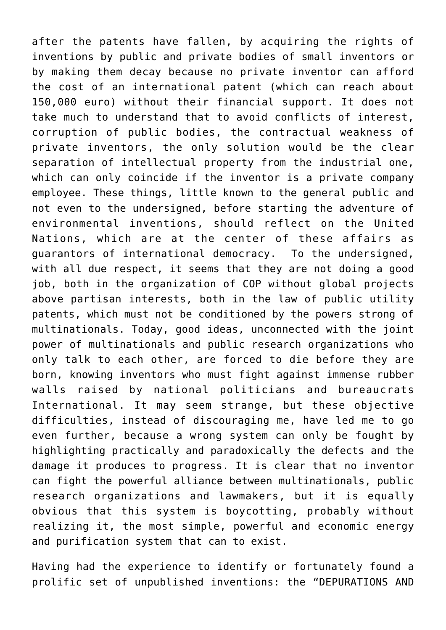after the patents have fallen, by acquiring the rights of inventions by public and private bodies of small inventors or by making them decay because no private inventor can afford the cost of an international patent (which can reach about 150,000 euro) without their financial support. It does not take much to understand that to avoid conflicts of interest, corruption of public bodies, the contractual weakness of private inventors, the only solution would be the clear separation of intellectual property from the industrial one, which can only coincide if the inventor is a private company employee. These things, little known to the general public and not even to the undersigned, before starting the adventure of environmental inventions, should reflect on the United Nations, which are at the center of these affairs as guarantors of international democracy. To the undersigned, with all due respect, it seems that they are not doing a good job, both in the organization of COP without global projects above partisan interests, both in the law of public utility patents, which must not be conditioned by the powers strong of multinationals. Today, good ideas, unconnected with the joint power of multinationals and public research organizations who only talk to each other, are forced to die before they are born, knowing inventors who must fight against immense rubber walls raised by national politicians and bureaucrats International. It may seem strange, but these objective difficulties, instead of discouraging me, have led me to go even further, because a wrong system can only be fought by highlighting practically and paradoxically the defects and the damage it produces to progress. It is clear that no inventor can fight the powerful alliance between multinationals, public research organizations and lawmakers, but it is equally obvious that this system is boycotting, probably without realizing it, the most simple, powerful and economic energy and purification system that can to exist.

Having had the experience to identify or fortunately found a prolific set of unpublished inventions: the "DEPURATIONS AND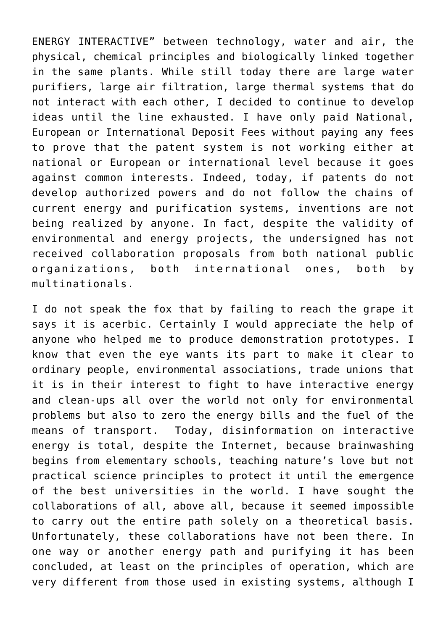ENERGY INTERACTIVE" between technology, water and air, the physical, chemical principles and biologically linked together in the same plants. While still today there are large water purifiers, large air filtration, large thermal systems that do not interact with each other, I decided to continue to develop ideas until the line exhausted. I have only paid National, European or International Deposit Fees without paying any fees to prove that the patent system is not working either at national or European or international level because it goes against common interests. Indeed, today, if patents do not develop authorized powers and do not follow the chains of current energy and purification systems, inventions are not being realized by anyone. In fact, despite the validity of environmental and energy projects, the undersigned has not received collaboration proposals from both national public organizations, both international ones, both by multinationals.

I do not speak the fox that by failing to reach the grape it says it is acerbic. Certainly I would appreciate the help of anyone who helped me to produce demonstration prototypes. I know that even the eye wants its part to make it clear to ordinary people, environmental associations, trade unions that it is in their interest to fight to have interactive energy and clean-ups all over the world not only for environmental problems but also to zero the energy bills and the fuel of the means of transport. Today, disinformation on interactive energy is total, despite the Internet, because brainwashing begins from elementary schools, teaching nature's love but not practical science principles to protect it until the emergence of the best universities in the world. I have sought the collaborations of all, above all, because it seemed impossible to carry out the entire path solely on a theoretical basis. Unfortunately, these collaborations have not been there. In one way or another energy path and purifying it has been concluded, at least on the principles of operation, which are very different from those used in existing systems, although I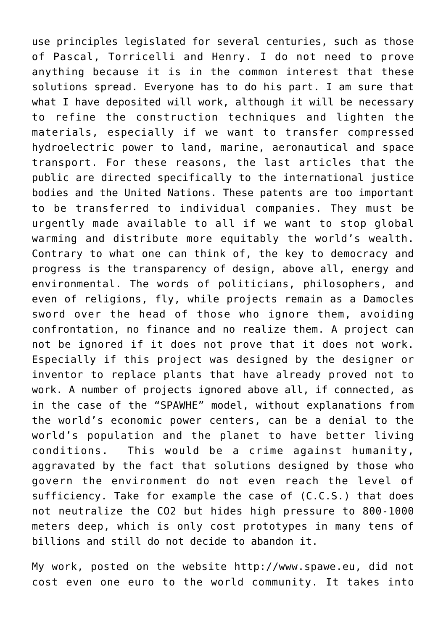use principles legislated for several centuries, such as those of Pascal, Torricelli and Henry. I do not need to prove anything because it is in the common interest that these solutions spread. Everyone has to do his part. I am sure that what I have deposited will work, although it will be necessary to refine the construction techniques and lighten the materials, especially if we want to transfer compressed hydroelectric power to land, marine, aeronautical and space transport. For these reasons, the last articles that the public are directed specifically to the international justice bodies and the United Nations. These patents are too important to be transferred to individual companies. They must be urgently made available to all if we want to stop global warming and distribute more equitably the world's wealth. Contrary to what one can think of, the key to democracy and progress is the transparency of design, above all, energy and environmental. The words of politicians, philosophers, and even of religions, fly, while projects remain as a Damocles sword over the head of those who ignore them, avoiding confrontation, no finance and no realize them. A project can not be ignored if it does not prove that it does not work. Especially if this project was designed by the designer or inventor to replace plants that have already proved not to work. A number of projects ignored above all, if connected, as in the case of the "SPAWHE" model, without explanations from the world's economic power centers, can be a denial to the world's population and the planet to have better living conditions. This would be a crime against humanity, aggravated by the fact that solutions designed by those who govern the environment do not even reach the level of sufficiency. Take for example the case of (C.C.S.) that does not neutralize the CO2 but hides high pressure to 800-1000 meters deep, which is only cost prototypes in many tens of billions and still do not decide to abandon it.

My work, posted on the website http://www.spawe.eu, did not cost even one euro to the world community. It takes into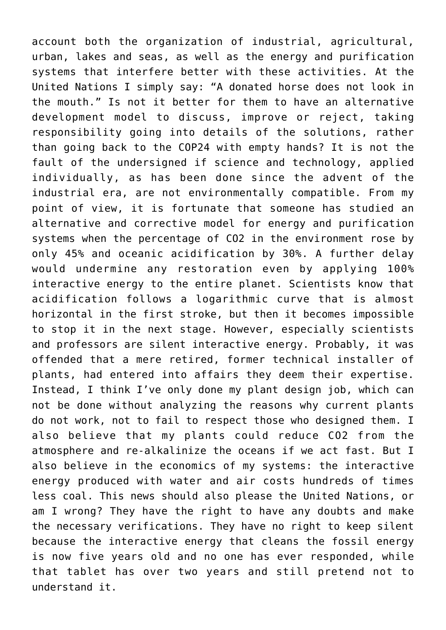account both the organization of industrial, agricultural, urban, lakes and seas, as well as the energy and purification systems that interfere better with these activities. At the United Nations I simply say: "A donated horse does not look in the mouth." Is not it better for them to have an alternative development model to discuss, improve or reject, taking responsibility going into details of the solutions, rather than going back to the COP24 with empty hands? It is not the fault of the undersigned if science and technology, applied individually, as has been done since the advent of the industrial era, are not environmentally compatible. From my point of view, it is fortunate that someone has studied an alternative and corrective model for energy and purification systems when the percentage of CO2 in the environment rose by only 45% and oceanic acidification by 30%. A further delay would undermine any restoration even by applying 100% interactive energy to the entire planet. Scientists know that acidification follows a logarithmic curve that is almost horizontal in the first stroke, but then it becomes impossible to stop it in the next stage. However, especially scientists and professors are silent interactive energy. Probably, it was offended that a mere retired, former technical installer of plants, had entered into affairs they deem their expertise. Instead, I think I've only done my plant design job, which can not be done without analyzing the reasons why current plants do not work, not to fail to respect those who designed them. I also believe that my plants could reduce CO2 from the atmosphere and re-alkalinize the oceans if we act fast. But I also believe in the economics of my systems: the interactive energy produced with water and air costs hundreds of times less coal. This news should also please the United Nations, or am I wrong? They have the right to have any doubts and make the necessary verifications. They have no right to keep silent because the interactive energy that cleans the fossil energy is now five years old and no one has ever responded, while that tablet has over two years and still pretend not to understand it.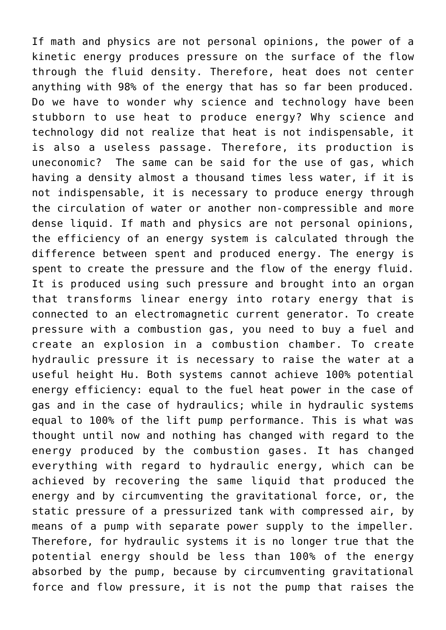If math and physics are not personal opinions, the power of a kinetic energy produces pressure on the surface of the flow through the fluid density. Therefore, heat does not center anything with 98% of the energy that has so far been produced. Do we have to wonder why science and technology have been stubborn to use heat to produce energy? Why science and technology did not realize that heat is not indispensable, it is also a useless passage. Therefore, its production is uneconomic? The same can be said for the use of gas, which having a density almost a thousand times less water, if it is not indispensable, it is necessary to produce energy through the circulation of water or another non-compressible and more dense liquid. If math and physics are not personal opinions, the efficiency of an energy system is calculated through the difference between spent and produced energy. The energy is spent to create the pressure and the flow of the energy fluid. It is produced using such pressure and brought into an organ that transforms linear energy into rotary energy that is connected to an electromagnetic current generator. To create pressure with a combustion gas, you need to buy a fuel and create an explosion in a combustion chamber. To create hydraulic pressure it is necessary to raise the water at a useful height Hu. Both systems cannot achieve 100% potential energy efficiency: equal to the fuel heat power in the case of gas and in the case of hydraulics; while in hydraulic systems equal to 100% of the lift pump performance. This is what was thought until now and nothing has changed with regard to the energy produced by the combustion gases. It has changed everything with regard to hydraulic energy, which can be achieved by recovering the same liquid that produced the energy and by circumventing the gravitational force, or, the static pressure of a pressurized tank with compressed air, by means of a pump with separate power supply to the impeller. Therefore, for hydraulic systems it is no longer true that the potential energy should be less than 100% of the energy absorbed by the pump, because by circumventing gravitational force and flow pressure, it is not the pump that raises the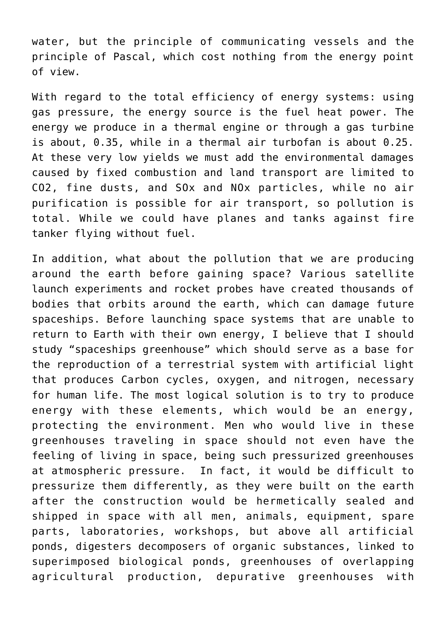water, but the principle of communicating vessels and the principle of Pascal, which cost nothing from the energy point of view.

With regard to the total efficiency of energy systems: using gas pressure, the energy source is the fuel heat power. The energy we produce in a thermal engine or through a gas turbine is about, 0.35, while in a thermal air turbofan is about 0.25. At these very low yields we must add the environmental damages caused by fixed combustion and land transport are limited to CO2, fine dusts, and SOx and NOx particles, while no air purification is possible for air transport, so pollution is total. While we could have planes and tanks against fire tanker flying without fuel.

In addition, what about the pollution that we are producing around the earth before gaining space? Various satellite launch experiments and rocket probes have created thousands of bodies that orbits around the earth, which can damage future spaceships. Before launching space systems that are unable to return to Earth with their own energy, I believe that I should study "spaceships greenhouse" which should serve as a base for the reproduction of a terrestrial system with artificial light that produces Carbon cycles, oxygen, and nitrogen, necessary for human life. The most logical solution is to try to produce energy with these elements, which would be an energy, protecting the environment. Men who would live in these greenhouses traveling in space should not even have the feeling of living in space, being such pressurized greenhouses at atmospheric pressure. In fact, it would be difficult to pressurize them differently, as they were built on the earth after the construction would be hermetically sealed and shipped in space with all men, animals, equipment, spare parts, laboratories, workshops, but above all artificial ponds, digesters decomposers of organic substances, linked to superimposed biological ponds, greenhouses of overlapping agricultural production, depurative greenhouses with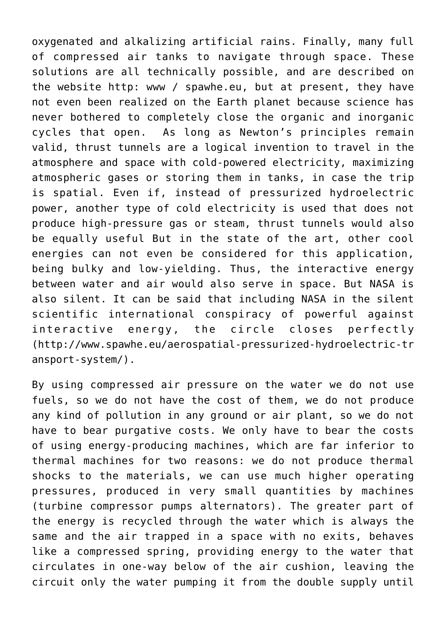oxygenated and alkalizing artificial rains. Finally, many full of compressed air tanks to navigate through space. These solutions are all technically possible, and are described on the website http: www / spawhe.eu, but at present, they have not even been realized on the Earth planet because science has never bothered to completely close the organic and inorganic cycles that open. As long as Newton's principles remain valid, thrust tunnels are a logical invention to travel in the atmosphere and space with cold-powered electricity, maximizing atmospheric gases or storing them in tanks, in case the trip is spatial. Even if, instead of pressurized hydroelectric power, another type of cold electricity is used that does not produce high-pressure gas or steam, thrust tunnels would also be equally useful But in the state of the art, other cool energies can not even be considered for this application, being bulky and low-yielding. Thus, the interactive energy between water and air would also serve in space. But NASA is also silent. It can be said that including NASA in the silent scientific international conspiracy of powerful against interactive energy, the circle closes perfectly (http://www.spawhe.eu/aerospatial-pressurized-hydroelectric-tr ansport-system/).

By using compressed air pressure on the water we do not use fuels, so we do not have the cost of them, we do not produce any kind of pollution in any ground or air plant, so we do not have to bear purgative costs. We only have to bear the costs of using energy-producing machines, which are far inferior to thermal machines for two reasons: we do not produce thermal shocks to the materials, we can use much higher operating pressures, produced in very small quantities by machines (turbine compressor pumps alternators). The greater part of the energy is recycled through the water which is always the same and the air trapped in a space with no exits, behaves like a compressed spring, providing energy to the water that circulates in one-way below of the air cushion, leaving the circuit only the water pumping it from the double supply until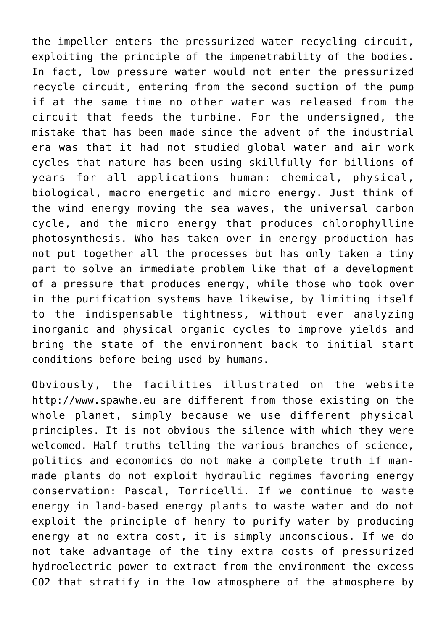the impeller enters the pressurized water recycling circuit, exploiting the principle of the impenetrability of the bodies. In fact, low pressure water would not enter the pressurized recycle circuit, entering from the second suction of the pump if at the same time no other water was released from the circuit that feeds the turbine. For the undersigned, the mistake that has been made since the advent of the industrial era was that it had not studied global water and air work cycles that nature has been using skillfully for billions of years for all applications human: chemical, physical, biological, macro energetic and micro energy. Just think of the wind energy moving the sea waves, the universal carbon cycle, and the micro energy that produces chlorophylline photosynthesis. Who has taken over in energy production has not put together all the processes but has only taken a tiny part to solve an immediate problem like that of a development of a pressure that produces energy, while those who took over in the purification systems have likewise, by limiting itself to the indispensable tightness, without ever analyzing inorganic and physical organic cycles to improve yields and bring the state of the environment back to initial start conditions before being used by humans.

Obviously, the facilities illustrated on the website http://www.spawhe.eu are different from those existing on the whole planet, simply because we use different physical principles. It is not obvious the silence with which they were welcomed. Half truths telling the various branches of science, politics and economics do not make a complete truth if manmade plants do not exploit hydraulic regimes favoring energy conservation: Pascal, Torricelli. If we continue to waste energy in land-based energy plants to waste water and do not exploit the principle of henry to purify water by producing energy at no extra cost, it is simply unconscious. If we do not take advantage of the tiny extra costs of pressurized hydroelectric power to extract from the environment the excess CO2 that stratify in the low atmosphere of the atmosphere by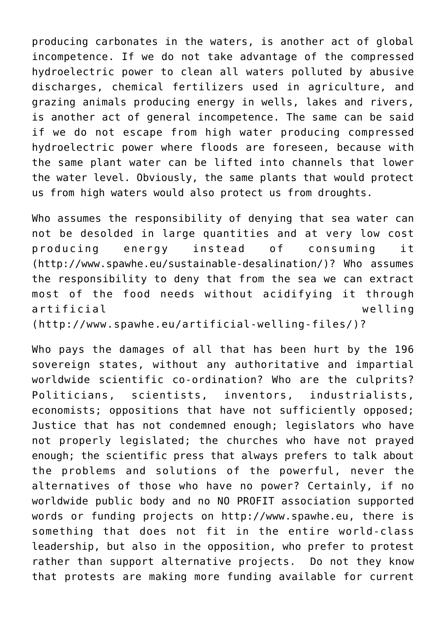producing carbonates in the waters, is another act of global incompetence. If we do not take advantage of the compressed hydroelectric power to clean all waters polluted by abusive discharges, chemical fertilizers used in agriculture, and grazing animals producing energy in wells, lakes and rivers, is another act of general incompetence. The same can be said if we do not escape from high water producing compressed hydroelectric power where floods are foreseen, because with the same plant water can be lifted into channels that lower the water level. Obviously, the same plants that would protect us from high waters would also protect us from droughts.

Who assumes the responsibility of denying that sea water can not be desolded in large quantities and at very low cost producing energy instead of consuming it ([http://www.spawhe.eu/sustainable-desalination/\)](http://www.spawhe.eu/sustainable-desalination/)? Who assumes the responsibility to deny that from the sea we can extract most of the food needs without acidifying it through artificial welling

(<http://www.spawhe.eu/artificial-welling-files/>)?

Who pays the damages of all that has been hurt by the 196 sovereign states, without any authoritative and impartial worldwide scientific co-ordination? Who are the culprits? Politicians, scientists, inventors, industrialists, economists; oppositions that have not sufficiently opposed; Justice that has not condemned enough; legislators who have not properly legislated; the churches who have not prayed enough; the scientific press that always prefers to talk about the problems and solutions of the powerful, never the alternatives of those who have no power? Certainly, if no worldwide public body and no NO PROFIT association supported words or funding projects on http://www.spawhe.eu, there is something that does not fit in the entire world-class leadership, but also in the opposition, who prefer to protest rather than support alternative projects. Do not they know that protests are making more funding available for current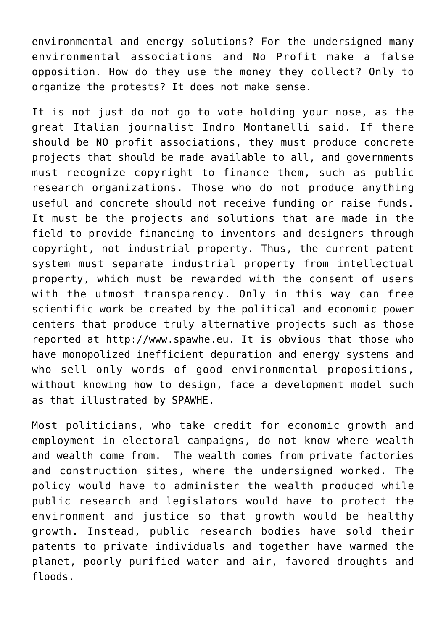environmental and energy solutions? For the undersigned many environmental associations and No Profit make a false opposition. How do they use the money they collect? Only to organize the protests? It does not make sense.

It is not just do not go to vote holding your nose, as the great Italian journalist Indro Montanelli said. If there should be NO profit associations, they must produce concrete projects that should be made available to all, and governments must recognize copyright to finance them, such as public research organizations. Those who do not produce anything useful and concrete should not receive funding or raise funds. It must be the projects and solutions that are made in the field to provide financing to inventors and designers through copyright, not industrial property. Thus, the current patent system must separate industrial property from intellectual property, which must be rewarded with the consent of users with the utmost transparency. Only in this way can free scientific work be created by the political and economic power centers that produce truly alternative projects such as those reported at<http://www.spawhe.eu>. It is obvious that those who have monopolized inefficient depuration and energy systems and who sell only words of good environmental propositions, without knowing how to design, face a development model such as that illustrated by SPAWHE.

Most politicians, who take credit for economic growth and employment in electoral campaigns, do not know where wealth and wealth come from. The wealth comes from private factories and construction sites, where the undersigned worked. The policy would have to administer the wealth produced while public research and legislators would have to protect the environment and justice so that growth would be healthy growth. Instead, public research bodies have sold their patents to private individuals and together have warmed the planet, poorly purified water and air, favored droughts and floods.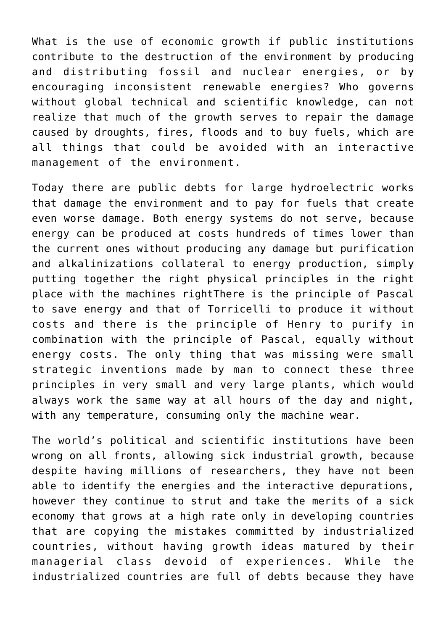What is the use of economic growth if public institutions contribute to the destruction of the environment by producing and distributing fossil and nuclear energies, or by encouraging inconsistent renewable energies? Who governs without global technical and scientific knowledge, can not realize that much of the growth serves to repair the damage caused by droughts, fires, floods and to buy fuels, which are all things that could be avoided with an interactive management of the environment.

Today there are public debts for large hydroelectric works that damage the environment and to pay for fuels that create even worse damage. Both energy systems do not serve, because energy can be produced at costs hundreds of times lower than the current ones without producing any damage but purification and alkalinizations collateral to energy production, simply putting together the right physical principles in the right place with the machines rightThere is the principle of Pascal to save energy and that of Torricelli to produce it without costs and there is the principle of Henry to purify in combination with the principle of Pascal, equally without energy costs. The only thing that was missing were small strategic inventions made by man to connect these three principles in very small and very large plants, which would always work the same way at all hours of the day and night, with any temperature, consuming only the machine wear.

The world's political and scientific institutions have been wrong on all fronts, allowing sick industrial growth, because despite having millions of researchers, they have not been able to identify the energies and the interactive depurations, however they continue to strut and take the merits of a sick economy that grows at a high rate only in developing countries that are copying the mistakes committed by industrialized countries, without having growth ideas matured by their managerial class devoid of experiences. While the industrialized countries are full of debts because they have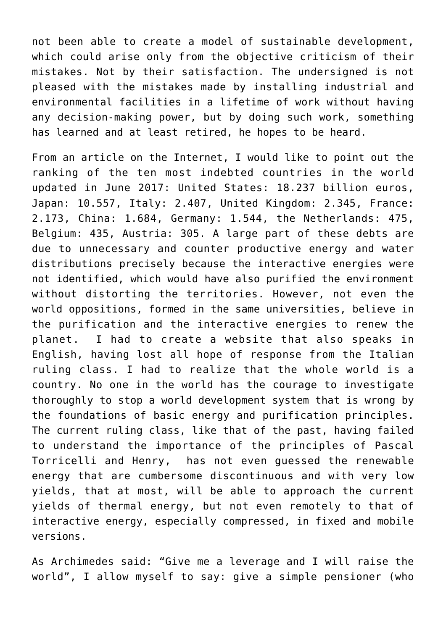not been able to create a model of sustainable development, which could arise only from the objective criticism of their mistakes. Not by their satisfaction. The undersigned is not pleased with the mistakes made by installing industrial and environmental facilities in a lifetime of work without having any decision-making power, but by doing such work, something has learned and at least retired, he hopes to be heard.

From an article on the Internet, I would like to point out the ranking of the ten most indebted countries in the world updated in June 2017: United States: 18.237 billion euros, Japan: 10.557, Italy: 2.407, United Kingdom: 2.345, France: 2.173, China: 1.684, Germany: 1.544, the Netherlands: 475, Belgium: 435, Austria: 305. A large part of these debts are due to unnecessary and counter productive energy and water distributions precisely because the interactive energies were not identified, which would have also purified the environment without distorting the territories. However, not even the world oppositions, formed in the same universities, believe in the purification and the interactive energies to renew the planet. I had to create a website that also speaks in English, having lost all hope of response from the Italian ruling class. I had to realize that the whole world is a country. No one in the world has the courage to investigate thoroughly to stop a world development system that is wrong by the foundations of basic energy and purification principles. The current ruling class, like that of the past, having failed to understand the importance of the principles of Pascal Torricelli and Henry, has not even guessed the renewable energy that are cumbersome discontinuous and with very low yields, that at most, will be able to approach the current yields of thermal energy, but not even remotely to that of interactive energy, especially compressed, in fixed and mobile versions.

As Archimedes said: "Give me a leverage and I will raise the world", I allow myself to say: give a simple pensioner (who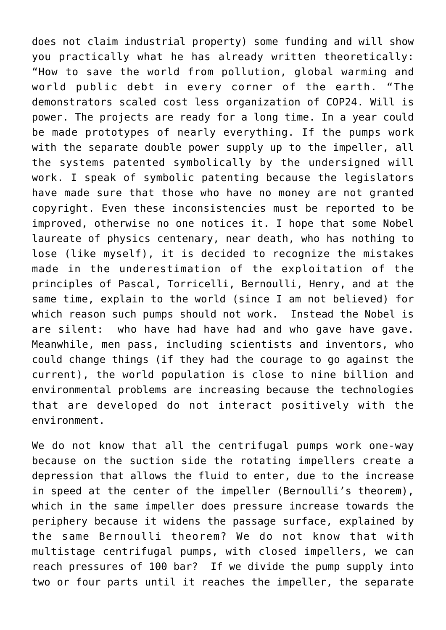does not claim industrial property) some funding and will show you practically what he has already written theoretically: "How to save the world from pollution, global warming and world public debt in every corner of the earth. "The demonstrators scaled cost less organization of COP24. Will is power. The projects are ready for a long time. In a year could be made prototypes of nearly everything. If the pumps work with the separate double power supply up to the impeller, all the systems patented symbolically by the undersigned will work. I speak of symbolic patenting because the legislators have made sure that those who have no money are not granted copyright. Even these inconsistencies must be reported to be improved, otherwise no one notices it. I hope that some Nobel laureate of physics centenary, near death, who has nothing to lose (like myself), it is decided to recognize the mistakes made in the underestimation of the exploitation of the principles of Pascal, Torricelli, Bernoulli, Henry, and at the same time, explain to the world (since I am not believed) for which reason such pumps should not work. Instead the Nobel is are silent: who have had have had and who gave have gave. Meanwhile, men pass, including scientists and inventors, who could change things (if they had the courage to go against the current), the world population is close to nine billion and environmental problems are increasing because the technologies that are developed do not interact positively with the environment.

We do not know that all the centrifugal pumps work one-way because on the suction side the rotating impellers create a depression that allows the fluid to enter, due to the increase in speed at the center of the impeller (Bernoulli's theorem), which in the same impeller does pressure increase towards the periphery because it widens the passage surface, explained by the same Bernoulli theorem? We do not know that with multistage centrifugal pumps, with closed impellers, we can reach pressures of 100 bar? If we divide the pump supply into two or four parts until it reaches the impeller, the separate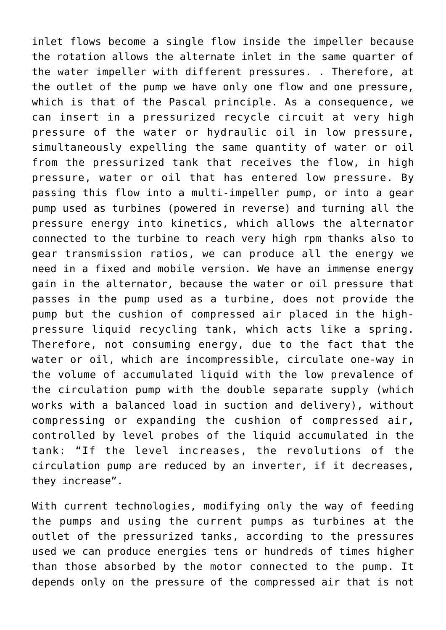inlet flows become a single flow inside the impeller because the rotation allows the alternate inlet in the same quarter of the water impeller with different pressures. . Therefore, at the outlet of the pump we have only one flow and one pressure, which is that of the Pascal principle. As a consequence, we can insert in a pressurized recycle circuit at very high pressure of the water or hydraulic oil in low pressure, simultaneously expelling the same quantity of water or oil from the pressurized tank that receives the flow, in high pressure, water or oil that has entered low pressure. By passing this flow into a multi-impeller pump, or into a gear pump used as turbines (powered in reverse) and turning all the pressure energy into kinetics, which allows the alternator connected to the turbine to reach very high rpm thanks also to gear transmission ratios, we can produce all the energy we need in a fixed and mobile version. We have an immense energy gain in the alternator, because the water or oil pressure that passes in the pump used as a turbine, does not provide the pump but the cushion of compressed air placed in the highpressure liquid recycling tank, which acts like a spring. Therefore, not consuming energy, due to the fact that the water or oil, which are incompressible, circulate one-way in the volume of accumulated liquid with the low prevalence of the circulation pump with the double separate supply (which works with a balanced load in suction and delivery), without compressing or expanding the cushion of compressed air, controlled by level probes of the liquid accumulated in the tank: "If the level increases, the revolutions of the circulation pump are reduced by an inverter, if it decreases, they increase".

With current technologies, modifying only the way of feeding the pumps and using the current pumps as turbines at the outlet of the pressurized tanks, according to the pressures used we can produce energies tens or hundreds of times higher than those absorbed by the motor connected to the pump. It depends only on the pressure of the compressed air that is not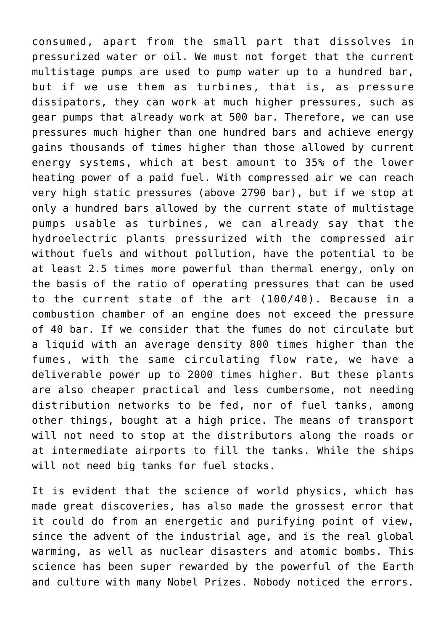consumed, apart from the small part that dissolves in pressurized water or oil. We must not forget that the current multistage pumps are used to pump water up to a hundred bar, but if we use them as turbines, that is, as pressure dissipators, they can work at much higher pressures, such as gear pumps that already work at 500 bar. Therefore, we can use pressures much higher than one hundred bars and achieve energy gains thousands of times higher than those allowed by current energy systems, which at best amount to 35% of the lower heating power of a paid fuel. With compressed air we can reach very high static pressures (above 2790 bar), but if we stop at only a hundred bars allowed by the current state of multistage pumps usable as turbines, we can already say that the hydroelectric plants pressurized with the compressed air without fuels and without pollution, have the potential to be at least 2.5 times more powerful than thermal energy, only on the basis of the ratio of operating pressures that can be used to the current state of the art (100/40). Because in a combustion chamber of an engine does not exceed the pressure of 40 bar. If we consider that the fumes do not circulate but a liquid with an average density 800 times higher than the fumes, with the same circulating flow rate, we have a deliverable power up to 2000 times higher. But these plants are also cheaper practical and less cumbersome, not needing distribution networks to be fed, nor of fuel tanks, among other things, bought at a high price. The means of transport will not need to stop at the distributors along the roads or at intermediate airports to fill the tanks. While the ships will not need big tanks for fuel stocks.

It is evident that the science of world physics, which has made great discoveries, has also made the grossest error that it could do from an energetic and purifying point of view, since the advent of the industrial age, and is the real global warming, as well as nuclear disasters and atomic bombs. This science has been super rewarded by the powerful of the Earth and culture with many Nobel Prizes. Nobody noticed the errors.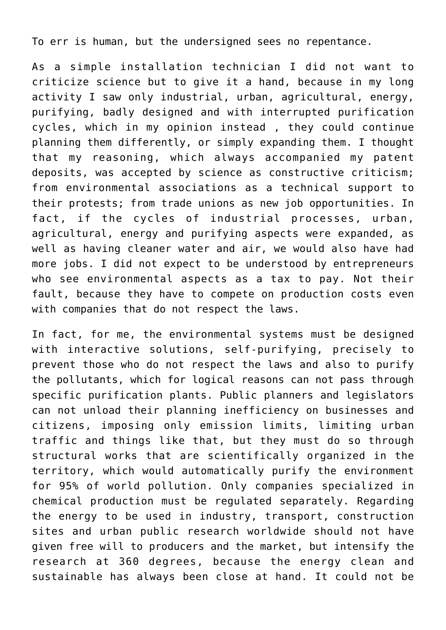To err is human, but the undersigned sees no repentance.

As a simple installation technician I did not want to criticize science but to give it a hand, because in my long activity I saw only industrial, urban, agricultural, energy, purifying, badly designed and with interrupted purification cycles, which in my opinion instead , they could continue planning them differently, or simply expanding them. I thought that my reasoning, which always accompanied my patent deposits, was accepted by science as constructive criticism; from environmental associations as a technical support to their protests; from trade unions as new job opportunities. In fact, if the cycles of industrial processes, urban, agricultural, energy and purifying aspects were expanded, as well as having cleaner water and air, we would also have had more jobs. I did not expect to be understood by entrepreneurs who see environmental aspects as a tax to pay. Not their fault, because they have to compete on production costs even with companies that do not respect the laws.

In fact, for me, the environmental systems must be designed with interactive solutions, self-purifying, precisely to prevent those who do not respect the laws and also to purify the pollutants, which for logical reasons can not pass through specific purification plants. Public planners and legislators can not unload their planning inefficiency on businesses and citizens, imposing only emission limits, limiting urban traffic and things like that, but they must do so through structural works that are scientifically organized in the territory, which would automatically purify the environment for 95% of world pollution. Only companies specialized in chemical production must be regulated separately. Regarding the energy to be used in industry, transport, construction sites and urban public research worldwide should not have given free will to producers and the market, but intensify the research at 360 degrees, because the energy clean and sustainable has always been close at hand. It could not be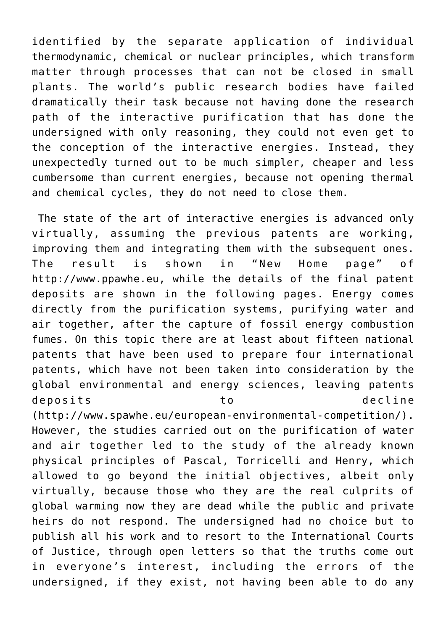identified by the separate application of individual thermodynamic, chemical or nuclear principles, which transform matter through processes that can not be closed in small plants. The world's public research bodies have failed dramatically their task because not having done the research path of the interactive purification that has done the undersigned with only reasoning, they could not even get to the conception of the interactive energies. Instead, they unexpectedly turned out to be much simpler, cheaper and less cumbersome than current energies, because not opening thermal and chemical cycles, they do not need to close them.

 The state of the art of interactive energies is advanced only virtually, assuming the previous patents are working, improving them and integrating them with the subsequent ones. The result is shown in "New Home page" of http://www.ppawhe.eu, while the details of the final patent deposits are shown in the following pages. Energy comes directly from the purification systems, purifying water and air together, after the capture of fossil energy combustion fumes. On this topic there are at least about fifteen national patents that have been used to prepare four international patents, which have not been taken into consideration by the global environmental and energy sciences, leaving patents deposits to decline ([http://www.spawhe.eu/european-environmental-competition/\)](http://www.spawhe.eu/european-environmental-competition/). However, the studies carried out on the purification of water and air together led to the study of the already known physical principles of Pascal, Torricelli and Henry, which allowed to go beyond the initial objectives, albeit only virtually, because those who they are the real culprits of global warming now they are dead while the public and private heirs do not respond. The undersigned had no choice but to publish all his work and to resort to the International Courts of Justice, through open letters so that the truths come out in everyone's interest, including the errors of the undersigned, if they exist, not having been able to do any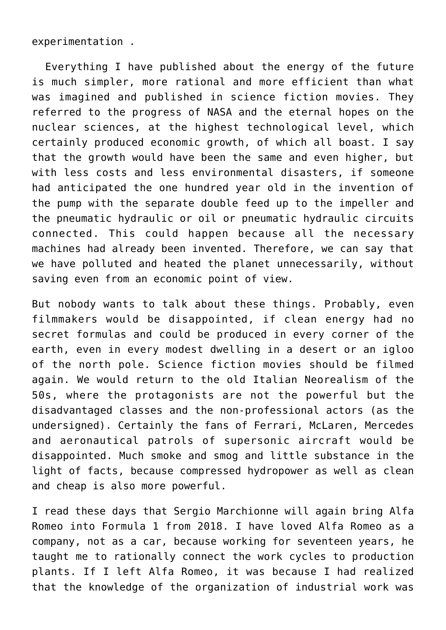experimentation .

 Everything I have published about the energy of the future is much simpler, more rational and more efficient than what was imagined and published in science fiction movies. They referred to the progress of NASA and the eternal hopes on the nuclear sciences, at the highest technological level, which certainly produced economic growth, of which all boast. I say that the growth would have been the same and even higher, but with less costs and less environmental disasters, if someone had anticipated the one hundred year old in the invention of the pump with the separate double feed up to the impeller and the pneumatic hydraulic or oil or pneumatic hydraulic circuits connected. This could happen because all the necessary machines had already been invented. Therefore, we can say that we have polluted and heated the planet unnecessarily, without saving even from an economic point of view.

But nobody wants to talk about these things. Probably, even filmmakers would be disappointed, if clean energy had no secret formulas and could be produced in every corner of the earth, even in every modest dwelling in a desert or an igloo of the north pole. Science fiction movies should be filmed again. We would return to the old Italian Neorealism of the 50s, where the protagonists are not the powerful but the disadvantaged classes and the non-professional actors (as the undersigned). Certainly the fans of Ferrari, McLaren, Mercedes and aeronautical patrols of supersonic aircraft would be disappointed. Much smoke and smog and little substance in the light of facts, because compressed hydropower as well as clean and cheap is also more powerful.

I read these days that Sergio Marchionne will again bring Alfa Romeo into Formula 1 from 2018. I have loved Alfa Romeo as a company, not as a car, because working for seventeen years, he taught me to rationally connect the work cycles to production plants. If I left Alfa Romeo, it was because I had realized that the knowledge of the organization of industrial work was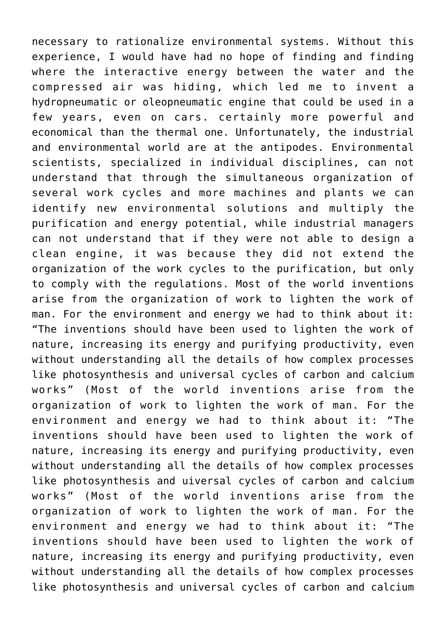necessary to rationalize environmental systems. Without this experience, I would have had no hope of finding and finding where the interactive energy between the water and the compressed air was hiding, which led me to invent a hydropneumatic or oleopneumatic engine that could be used in a few years, even on cars. certainly more powerful and economical than the thermal one. Unfortunately, the industrial and environmental world are at the antipodes. Environmental scientists, specialized in individual disciplines, can not understand that through the simultaneous organization of several work cycles and more machines and plants we can identify new environmental solutions and multiply the purification and energy potential, while industrial managers can not understand that if they were not able to design a clean engine, it was because they did not extend the organization of the work cycles to the purification, but only to comply with the regulations. Most of the world inventions arise from the organization of work to lighten the work of man. For the environment and energy we had to think about it: "The inventions should have been used to lighten the work of nature, increasing its energy and purifying productivity, even without understanding all the details of how complex processes like photosynthesis and universal cycles of carbon and calcium works" (Most of the world inventions arise from the organization of work to lighten the work of man. For the environment and energy we had to think about it: "The inventions should have been used to lighten the work of nature, increasing its energy and purifying productivity, even without understanding all the details of how complex processes like photosynthesis and uiversal cycles of carbon and calcium works" (Most of the world inventions arise from the organization of work to lighten the work of man. For the environment and energy we had to think about it: "The inventions should have been used to lighten the work of nature, increasing its energy and purifying productivity, even without understanding all the details of how complex processes like photosynthesis and universal cycles of carbon and calcium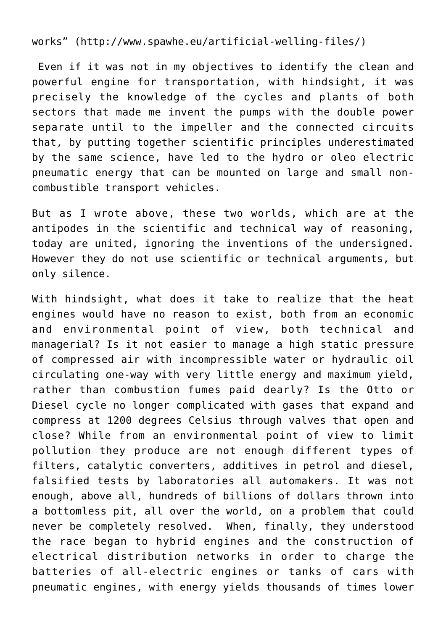works" (http://www.spawhe.eu/artificial-welling-files/)

 Even if it was not in my objectives to identify the clean and powerful engine for transportation, with hindsight, it was precisely the knowledge of the cycles and plants of both sectors that made me invent the pumps with the double power separate until to the impeller and the connected circuits that, by putting together scientific principles underestimated by the same science, have led to the hydro or oleo electric pneumatic energy that can be mounted on large and small noncombustible transport vehicles.

But as I wrote above, these two worlds, which are at the antipodes in the scientific and technical way of reasoning, today are united, ignoring the inventions of the undersigned. However they do not use scientific or technical arguments, but only silence.

With hindsight, what does it take to realize that the heat engines would have no reason to exist, both from an economic and environmental point of view, both technical and managerial? Is it not easier to manage a high static pressure of compressed air with incompressible water or hydraulic oil circulating one-way with very little energy and maximum yield, rather than combustion fumes paid dearly? Is the Otto or Diesel cycle no longer complicated with gases that expand and compress at 1200 degrees Celsius through valves that open and close? While from an environmental point of view to limit pollution they produce are not enough different types of filters, catalytic converters, additives in petrol and diesel, falsified tests by laboratories all automakers. It was not enough, above all, hundreds of billions of dollars thrown into a bottomless pit, all over the world, on a problem that could never be completely resolved. When, finally, they understood the race began to hybrid engines and the construction of electrical distribution networks in order to charge the batteries of all-electric engines or tanks of cars with pneumatic engines, with energy yields thousands of times lower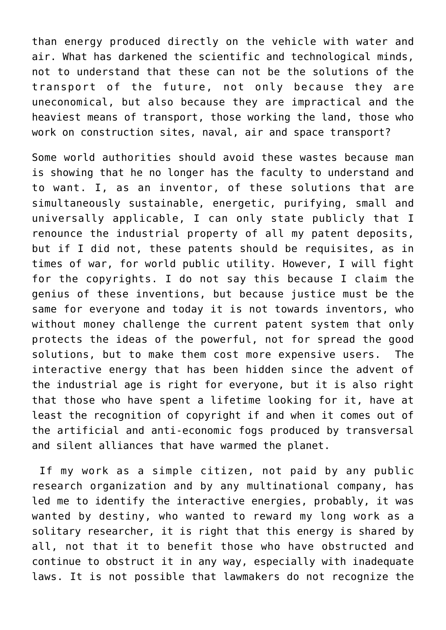than energy produced directly on the vehicle with water and air. What has darkened the scientific and technological minds, not to understand that these can not be the solutions of the transport of the future, not only because they are uneconomical, but also because they are impractical and the heaviest means of transport, those working the land, those who work on construction sites, naval, air and space transport?

Some world authorities should avoid these wastes because man is showing that he no longer has the faculty to understand and to want. I, as an inventor, of these solutions that are simultaneously sustainable, energetic, purifying, small and universally applicable, I can only state publicly that I renounce the industrial property of all my patent deposits, but if I did not, these patents should be requisites, as in times of war, for world public utility. However, I will fight for the copyrights. I do not say this because I claim the genius of these inventions, but because justice must be the same for everyone and today it is not towards inventors, who without money challenge the current patent system that only protects the ideas of the powerful, not for spread the good solutions, but to make them cost more expensive users. The interactive energy that has been hidden since the advent of the industrial age is right for everyone, but it is also right that those who have spent a lifetime looking for it, have at least the recognition of copyright if and when it comes out of the artificial and anti-economic fogs produced by transversal and silent alliances that have warmed the planet.

 If my work as a simple citizen, not paid by any public research organization and by any multinational company, has led me to identify the interactive energies, probably, it was wanted by destiny, who wanted to reward my long work as a solitary researcher, it is right that this energy is shared by all, not that it to benefit those who have obstructed and continue to obstruct it in any way, especially with inadequate laws. It is not possible that lawmakers do not recognize the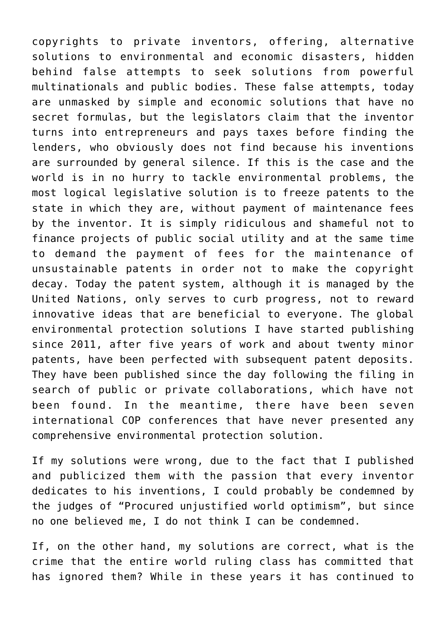copyrights to private inventors, offering, alternative solutions to environmental and economic disasters, hidden behind false attempts to seek solutions from powerful multinationals and public bodies. These false attempts, today are unmasked by simple and economic solutions that have no secret formulas, but the legislators claim that the inventor turns into entrepreneurs and pays taxes before finding the lenders, who obviously does not find because his inventions are surrounded by general silence. If this is the case and the world is in no hurry to tackle environmental problems, the most logical legislative solution is to freeze patents to the state in which they are, without payment of maintenance fees by the inventor. It is simply ridiculous and shameful not to finance projects of public social utility and at the same time to demand the payment of fees for the maintenance of unsustainable patents in order not to make the copyright decay. Today the patent system, although it is managed by the United Nations, only serves to curb progress, not to reward innovative ideas that are beneficial to everyone. The global environmental protection solutions I have started publishing since 2011, after five years of work and about twenty minor patents, have been perfected with subsequent patent deposits. They have been published since the day following the filing in search of public or private collaborations, which have not been found. In the meantime, there have been seven international COP conferences that have never presented any comprehensive environmental protection solution.

If my solutions were wrong, due to the fact that I published and publicized them with the passion that every inventor dedicates to his inventions, I could probably be condemned by the judges of "Procured unjustified world optimism", but since no one believed me, I do not think I can be condemned.

If, on the other hand, my solutions are correct, what is the crime that the entire world ruling class has committed that has ignored them? While in these years it has continued to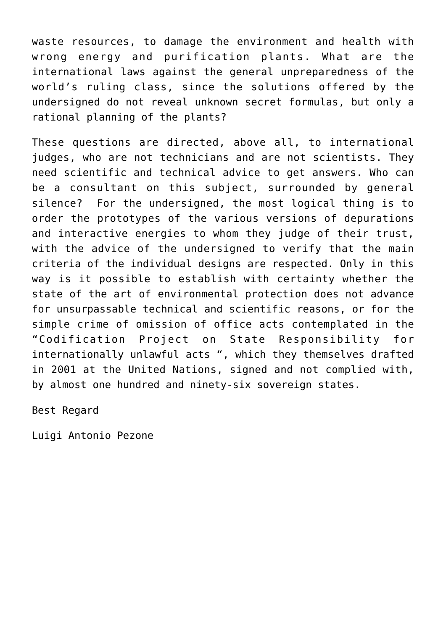waste resources, to damage the environment and health with wrong energy and purification plants. What are the international laws against the general unpreparedness of the world's ruling class, since the solutions offered by the undersigned do not reveal unknown secret formulas, but only a rational planning of the plants?

These questions are directed, above all, to international judges, who are not technicians and are not scientists. They need scientific and technical advice to get answers. Who can be a consultant on this subject, surrounded by general silence? For the undersigned, the most logical thing is to order the prototypes of the various versions of depurations and interactive energies to whom they judge of their trust, with the advice of the undersigned to verify that the main criteria of the individual designs are respected. Only in this way is it possible to establish with certainty whether the state of the art of environmental protection does not advance for unsurpassable technical and scientific reasons, or for the simple crime of omission of office acts contemplated in the "Codification Project on State Responsibility for internationally unlawful acts ", which they themselves drafted in 2001 at the United Nations, signed and not complied with, by almost one hundred and ninety-six sovereign states.

Best Regard

Luigi Antonio Pezone